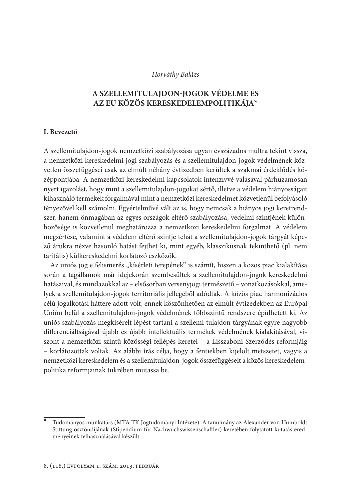### Horváthy Balázs

# A SZELLEMITULAJDON-JOGOK VÉDELME ÉS AZ EU KÖZÖS KERESKEDELEMPOLITIKÁJA\*

### **I.** Bevezető

A szellemitulajdon-jogok nemzetközi szabályozása ugyan évszázados múltra tekint vissza, a nemzetközi kereskedelmi jogi szabályozás és a szellemitulajdon-jogok védelmének közvetlen összefüggései csak az elmúlt néhány évtizedben kerültek a szakmai érdeklődés középpontjába. A nemzetközi kereskedelmi kapcsolatok intenzívvé válásával párhuzamosan nyert igazolást, hogy mint a szellemitulajdon-jogokat sértő, illetve a védelem hiányosságait kihasználó termékek forgalmával mint a nemzetközi kereskedelmet közvetlenül befolyásoló tényezővel kell számolni. Egyértelművé vált az is, hogy nemcsak a hiányos jogi keretrendszer, hanem önmagában az egyes országok eltérő szabályozása, védelmi szintjének különbözősége is közvetlenül meghatározza a nemzetközi kereskedelmi forgalmat. A védelem megsértése, valamint a védelem eltérő szintje tehát a szellemitulajdon-jogok tárgyát képező árukra nézve hasonló hatást fejthet ki, mint egyéb, klasszikusnak tekinthető (pl. nem tarifális) külkereskedelmi korlátozó eszközök.

Az uniós jog e felismerés "kísérleti terepének" is számít, hiszen a közös piac kialakítása során a tagállamok már idejekorán szembesültek a szellemitulajdon-jogok kereskedelmi hatásaival, és mindazokkal az - elsősorban versenyjogi természetű - vonatkozásokkal, amelyek a szellemitulajdon-jogok territoriális jellegéből adódtak. A közös piac harmonizációs célú jogalkotási háttere adott volt, ennek köszönhetően az elmúlt évtizedekben az Európai Unión belül a szellemitulajdon-jogok védelmének többszintű rendszere épülhetett ki. Az uniós szabályozás megkísérelt lépést tartani a szellemi tulajdon tárgyának egyre nagyobb differenciáltságával újabb és újabb intellektuális termékek védelmének kialakításával, viszont a nemzetközi szintű közösségi fellépés keretei – a Lisszaboni Szerződés reformjáig - korlátozottak voltak. Az alábbi írás célja, hogy a fentiekben kijelölt metszetet, vagyis a nemzetközi kereskedelem és a szellemitulajdon-jogok összefüggéseit a közös kereskedelempolitika reformjainak tükrében mutassa be.

Tudományos munkatárs (MTA TK Jogtudományi Intézete). A tanulmány az Alexander von Humboldt Stiftung ösztöndíjának (Stipendium für Nachwuchswissenschaftler) keretében folytatott kutatás eredményeinek felhasználásával készült.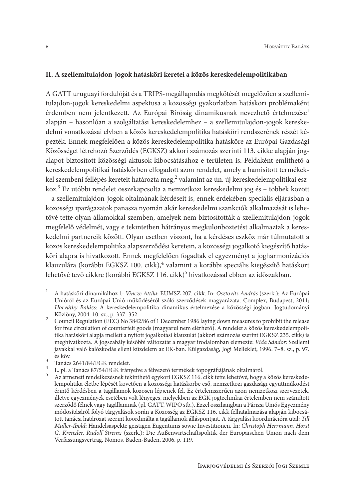## II. A szellemitulajdon-jogok hatásköri keretei a közös kereskedelempolitikában

A GATT uruguayi fordulóját és a TRIPS-megállapodás megkötését megelőzően a szellemitulajdon-jogok kereskedelmi aspektusa a közösségi gyakorlatban hatásköri problémaként érdemben nem jelentkezett. Az Európai Bíróság dinamikusnak nevezhető értelmezése<sup>1</sup> alapján – hasonlóan a szolgáltatási kereskedelemhez – a szellemitulajdon-jogok kereskedelmi vonatkozásai elvben a közös kereskedelempolitika hatásköri rendszerének részét képezték. Ennek megfelelően a közös kereskedelempolitika hatásköre az Európai Gazdasági Közösséget létrehozó Szerződés (EGKSZ) akkori számozás szerinti 113. cikke alapján jogalapot biztosított közösségi aktusok kibocsátásához e területen is. Példaként említhető a kereskedelempolitikai hatáskörben elfogadott azon rendelet, amely a hamisított termékekkel szembeni fellépés kereteit határozta meg,<sup>2</sup> valamint az ún. új kereskedelempolitikai eszköz.<sup>3</sup> Ez utóbbi rendelet összekapcsolta a nemzetközi kereskedelmi jog és – többek között - a szellemitulajdon-jogok oltalmának kérdéseit is, ennek érdekében speciális eljárásban a közösségi iparágazatok panasza nyomán akár kereskedelmi szankciók alkalmazását is lehetővé tette olyan államokkal szemben, amelyek nem biztosították a szellemitulajdon-jogok megfelelő védelmét, vagy e tekintetben hátrányos megkülönböztetést alkalmaztak a kereskedelmi partnereik között. Olyan esetben viszont, ha a kérdéses eszköz már túlmutatott a közös kereskedelempolitika alapszerződési keretein, a közösségi jogalkotó kiegészítő hatásköri alapra is hivatkozott. Ennek megfelelően fogadtak el egyezményt a jogharmonizációs klauzulára (korábbi EGKSZ 100. cikk),<sup>4</sup> valamint a korábbi speciális kiegészítő hatáskört lehetővé tevő cikkre (korábbi EGKSZ 116. cikk)<sup>5</sup> hivatkozással ebben az időszakban.

 $\overline{1}$ A hatásköri dinamikához l.: Vincze Attila: EUMSZ 207. cikk. In: Osztovits András (szerk.): Az Európai Unióról és az Európai Unió működéséről szóló szerződések magyarázata. Complex, Budapest, 2011; Horváthy Balázs: A kereskedelempolitika dinamikus értelmezése a közösségi jogban. Jogtudományi Közlöny, 2004. 10. sz., p. 337-352.

 $\overline{2}$ Council Regulation (EEC) No 3842/86 of 1 December 1986 laying down measures to prohibit the release for free circulation of counterfeit goods (magyarul nem elérhető). A rendelet a közös kereskedelempolitika hatásköri alapja mellett a nyitott jogalkotási klauzulát (akkori számozás szerint EGKSZ 235. cikk) is meghivatkozta. A jogszabály későbbi változatát a magyar irodalomban elemezte: Vida Sándor: Szellemi javakkal való kalózkodás elleni küzdelem az EK-ban. Külgazdaság, Jogi Melléklet, 1996. 7-8. sz., p. 97. és köv  $\mathbf{a}$ 

Tanács 2641/84/EGK rendelet.

 $\overline{4}$ L. pl. a Tanács 87/54/EGK irányelve a félvezető termékek topográfiájának oltalmáról.  $5<sup>-1</sup>$ 

Az átmeneti rendelkezésnek tekinthető egykori EGKSZ 116. cikk tette lehetővé, hogy a közös kereskedelempolitika életbe lépését követően a közösségi hatáskörbe eső, nemzetközi gazdasági együttműködést érintő kérdésben a tagállamok közösen lépjenek fel. Ez értelemszerűen azon nemzetközi szervezetek, illetve egyezmények esetében volt lényeges, melyekben az EGK jogtechnikai értelemben nem számított szerződő félnek vagy tagállamnak (pl. GATT, WIPO stb.). Ezzel összhangban a Párizsi Uniós Egyezmény módosításáról folyó tárgyalások során a Közösség az EGKSZ 116. cikk felhatalmazása alapján kibocsátott tanácsi határozat szerint koordinálta a tagállamok álláspontjait. A tárgyalási koordinációra utal: Till Müller-Ibold: Handelsaspekte geistigen Eugentums sowie Investitionen. In: Christoph Herrmann, Horst G. Krenzler, Rudolf Streinz (szerk.): Die Außenwirtschaftspolitik der Europäischen Union nach dem Verfassungsvertrag. Nomos, Baden-Baden, 2006. p. 119.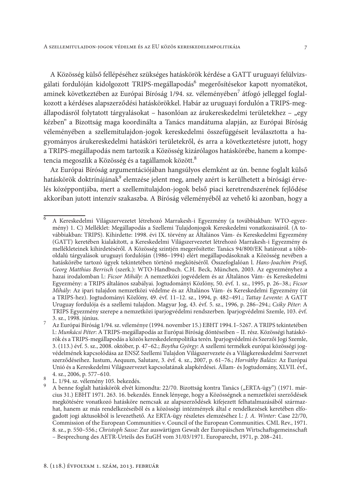A Közösség külső fellépéséhez szükséges hatáskörök kérdése a GATT uruguayi felülvizsgálati fordulóján kidolgozott TRIPS-megállapodás<sup>6</sup> megerősítésekor kapott nyomatékot, aminek következtében az Európai Bíróság 1/94. sz. véleményében<sup>7</sup> átfogó jelleggel foglalkozott a kérdéses alapszerződési hatáskörökkel. Habár az uruguayi fordulón a TRIPS-megállapodásról folytatott tárgyalásokat - hasonlóan az árukereskedelmi területekhez - "egy kézben" a Bizottság maga koordinálta a Tanács mandátuma alapján, az Európai Bíróság véleményében a szellemitulajdon-jogok kereskedelmi összefüggéseit leválasztotta a hagyományos árukereskedelmi hatásköri területekről, és arra a következtetésre jutott, hogy a TRIPS-megállapodás nem tartozik a Közösség kizárólagos hatáskörébe, hanem a kompetencia megoszlik a Közösség és a tagállamok között.<sup>8</sup>

Az Európai Bíróság argumentációjában hangsúlyos elemként az ún. benne foglalt külső hatáskörök doktrínájának<sup>9</sup> elemzése jelent meg, amely azért is kerülhetett a bírósági érvelés középpontjába, mert a szellemitulajdon-jogok belső piaci keretrendszerének fejlődése akkoriban jutott intenzív szakaszba. A Bíróság véleményéből az vehető ki azonban, hogy a

 $\overline{6}$ A Kereskedelmi Világszervezetet létrehozó Marrakesh-i Egyezmény (a továbbiakban: WTO-egyezmény) 1. C) Melléklet: Megállapodás a Szellemi Tulajdonjogok Kereskedelmi vonatkozásairól. (A továbbiakban: TRIPS). Kihirdette: 1998. évi IX. törvény az Általános Vám- és Kereskedelmi Egyezmény (GATT) keretében kialakított, a Kereskedelmi Világszervezetet létrehozó Marrakesh-i Egyezmény és mellékleteinek kihirdetéséről. A Közösség szintjén megerősítette: Tanács 94/800/EK határozat a többoldalú tárgyalások uruguayi fordulóján (1986–1994) elért megállapodásoknak a Közösség nevében a hatáskörébe tartozó ügyek tekintetében történő megkötéséről. Összefoglalóan l. Hans-Joachim Prieß, Georg Matthias Berrisch (szerk.): WTO-Handbuch. C.H. Beck, München, 2003. Az egyezményhez a hazai irodalomban l.: Ficsor Mihály: A nemzetközi jogyédelem és az Általános Vám- és Kereskedelmi Egyezmény: a TRIPS általános szabályai. Jogtudományi Közlöny, 50. évf. 1. sz., 1995, p. 26-38.; Ficsor Mihály: Az ipari tulajdon nemzetközi védelme és az Általános Vám- és Kereskedelmi Egyezmény (út a TRIPS-hez). Jogtudományi Közlöny, 49. évf. 11-12. sz., 1994, p. 482-491.; Tattay Levente: A GATT Uruguay fordulója és a szellemi tulajdon. Magyar Jog, 43. évf. 5. sz., 1996, p. 286–294.; Csiky Péter: A TRIPS Egyezmény szerepe a nemzetközi iparjogyédelmi rendszerben. Iparjogyédelmi Szemle, 103. évf. 3. sz., 1998. június.

 $\overline{7}$ Az Európai Bíróság 1/94. sz. véleménye (1994. november 15.) EBHT 1994. I-5267. A TRIPS tekintetében l.: Munkácsi Péter: A TRIPS-megállapodás az Európai Bíróság döntéseiben - II. rész. Közösségi hatáskörök és a TRIPS-megállapodás a közös kereskedelempolitika terén. Iparjogvédelmi és Szerzői Jogi Szemle, 3. (113.) évf. 5. sz., 2008. október, p. 47-62.; Boytha György: A szellemi termékek európai közösségi jogvédelmének kapcsolódása az ENSZ Szellemi Tulajdon Világszervezete és a Világkereskedelmi Szervezet szerződéseihez. Iustum, Aequum, Salutare, 3. évf. 4. sz., 2007, p. 61-76.; Horváthy Balázs: Az Európai Unió és a Kereskedelmi Világszervezet kapcsolatának alapkérdései. Állam- és Jogtudomány, XLVII. évf., 4. sz., 2006, p. 577-610.

<sup>8</sup> L. 1/94. sz. vélemény 105. bekezdés.

A benne foglalt hatáskörök elvét kimondta: 22/70. Bizottság kontra Tanács ("ERTA-ügy") (1971. március 31.) EBHT 1971. 263. 16. bekezdés. Ennek lényege, hogy a Közösségnek a nemzetközi szerződések megkötésére vonatkozó hatásköre nemcsak az alapszerződések kifejezett felhatalmazásából származhat, hanem az más rendelkezéseiből és a közösségi intézmények által e rendelkezések keretében elfogadott jogi aktusokból is levezethető. Az ERTA-ügy részletes elemzéséhez l.: J. A. Winter: Case 22/70, Commission of the European Communities v. Council of the European Communities. CML Rev., 1971. 8. sz., p. 550-556.; Christoph Sasse: Zur auswärtigen Gewalt der Europäischen Wirtschaftsgemeinschaft - Besprechung des AETR-Urteils des EuGH vom 31/03/1971. Europarecht, 1971, p. 208-241.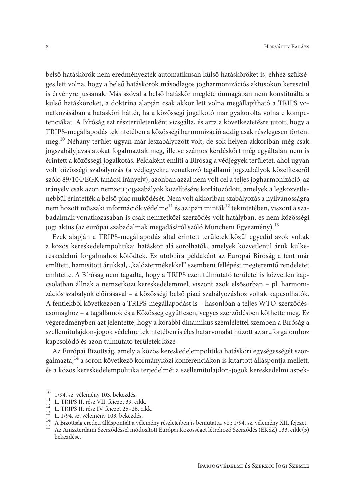belső hatáskörök nem eredményeztek automatikusan külső hatásköröket is, ehhez szükséges lett volna, hogy a belső hatáskörök másodlagos jogharmonizációs aktusokon keresztül is érvényre jussanak. Más szóval a belső hatáskör megléte önmagában nem konstituálta a külső hatásköröket, a doktrína alapján csak akkor lett volna megállapítható a TRIPS vonatkozásában a hatásköri háttér, ha a közösségi jogalkotó már gyakorolta volna e kompetenciákat. A Bíróság ezt részterületenként vizsgálta, és arra a következtetésre jutott, hogy a TRIPS-megállapodás tekintetében a közösségi harmonizáció addig csak részlegesen történt meg.<sup>10</sup> Néhány terület ugyan már leszabályozott volt, de sok helyen akkoriban még csak jogszabályjavaslatokat fogalmaztak meg, illetve számos kérdéskört még egyáltalán nem is érintett a közösségi jogalkotás. Példaként említi a Bíróság a védjegyek területét, ahol ugyan volt közösségi szabályozás (a védjegyekre vonatkozó tagállami jogszabályok közelítéséről szóló 89/104/EGK tanácsi irányelv), azonban azzal nem volt cél a teljes jogharmonizáció, az irányelv csak azon nemzeti jogszabályok közelítésére korlátozódott, amelyek a legközvetlenebbül érintették a belső piac működését. Nem volt akkoriban szabályozás a nyilvánosságra nem hozott műszaki információk védelme<sup>11</sup> és az ipari minták<sup>12</sup> tekintetében, viszont a szabadalmak vonatkozásában is csak nemzetközi szerződés volt hatályban, és nem közösségi jogi aktus (az európai szabadalmak megadásáról szóló Müncheni Egyezmény).<sup>13</sup>

Ezek alapján a TRIPS-megállapodás által érintett területek közül egyedül azok voltak a közös kereskedelempolitikai hatáskör alá sorolhatók, amelyek közvetlenül áruk külkereskedelmi forgalmához kötődtek. Ez utóbbira példaként az Európai Bíróság a fent már említett, hamisított árukkal, "kalóztermékekkel" szembeni fellépést megteremtő rendeletet említette. A Bíróság nem tagadta, hogy a TRIPS ezen túlmutató területei is közvetlen kapcsolatban állnak a nemzetközi kereskedelemmel, viszont azok elsősorban - pl. harmonizációs szabályok előírásával - a közösségi belső piaci szabályozáshoz voltak kapcsolhatók. A fentiekből következően a TRIPS-megállapodást is - hasonlóan a teljes WTO-szerződéscsomaghoz – a tagállamok és a Közösség együttesen, vegyes szerződésben köthette meg. Ez végeredményben azt jelentette, hogy a korábbi dinamikus szemlélettel szemben a Bíróság a szellemitulajdon-jogok védelme tekintetében is éles határvonalat húzott az áruforgalomhoz kapcsolódó és azon túlmutató területek közé.

Az Európai Bizottság, amely a közös kereskedelempolitika hatásköri egységességét szorgalmazta,<sup>14</sup> a soron következő kormányközi konferenciákon is kitartott álláspontja mellett, és a közös kereskedelempolitika terjedelmét a szellemitulajdon-jogok kereskedelmi aspek-

<sup>&</sup>lt;sup>10</sup> 1/94. sz. vélemény 103. bekezdés.

<sup>&</sup>lt;sup>11</sup> L. TRIPS II. rész VII. fejezet 39. cikk.

<sup>&</sup>lt;sup>12</sup> L. TRIPS II. rész IV. fejezet 25–26. cikk.

<sup>&</sup>lt;sup>13</sup> L. 1/94. sz. vélemény 103. bekezdés.

<sup>14</sup> A Bizottság eredeti álláspontját a vélemény részleteiben is bemutatta, vö.: 1/94. sz. vélemény XII. fejezet.

<sup>15</sup> Az Amszterdami Szerződéssel módosított Európai Közösséget létrehozó Szerződés (EKSZ) 133. cikk (5) bekezdése.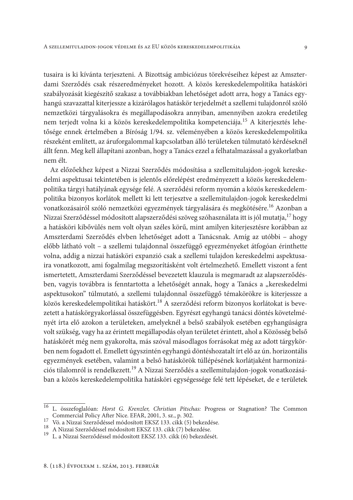tusaira is ki kívánta terjeszteni. A Bizottság ambiciózus törekvéseihez képest az Amszterdami Szerződés csak részeredményeket hozott. A közös kereskedelempolitika hatásköri szabályozását kiegészítő szakasz a továbbiakban lehetőséget adott arra, hogy a Tanács egyhangú szavazattal kiterjessze a kizárólagos hatáskör terjedelmét a szellemi tulajdonról szóló nemzetközi tárgyalásokra és megállapodásokra annyiban, amennyiben azokra eredetileg nem terjedt volna ki a közös kereskedelempolitika kompetenciája.<sup>15</sup> A kiterjesztés lehetősége ennek értelmében a Bíróság 1/94. sz. véleményében a közös kereskedelempolitika részeként említett, az áruforgalommal kapcsolatban álló területeken túlmutató kérdéseknél állt fenn. Meg kell állapítani azonban, hogy a Tanács ezzel a felhatalmazással a gyakorlatban nem élt.

Az előzőekhez képest a Nizzai Szerződés módosítása a szellemitulajdon-jogok kereskedelmi aspektusai tekintetében is jelentős előrelépést eredményezett a közös kereskedelempolitika tárgyi hatályának egysége felé. A szerződési reform nyomán a közös kereskedelempolitika bizonyos korlátok mellett ki lett terjesztve a szellemitulajdon-jogok kereskedelmi vonatkozásairól szóló nemzetközi egyezmények tárgyalására és megkötésére.<sup>16</sup> Azonban a Nizzai Szerződéssel módosított alapszerződési szöveg szóhasználata itt is jól mutatja,<sup>17</sup> hogy a hatásköri kibővülés nem volt olyan széles körű, mint amilyen kiterjesztésre korábban az Amszterdami Szerződés elvben lehetőséget adott a Tanácsnak. Amíg az utóbbi – ahogy előbb látható volt - a szellemi tulajdonnal összefüggő egyezményeket átfogóan érinthette volna, addig a nizzai hatásköri expanzió csak a szellemi tulajdon kereskedelmi aspektusaira vonatkozott, ami fogalmilag megszorításként volt értelmezhető. Emellett viszont a fent ismertetett, Amszterdami Szerződéssel bevezetett klauzula is megmaradt az alapszerződésben, vagyis továbbra is fenntartotta a lehetőségét annak, hogy a Tanács a "kereskedelmi aspektusokon" túlmutató, a szellemi tulajdonnal összefüggő témakörökre is kiterjessze a közös kereskedelempolitikai hatáskört.<sup>18</sup> A szerződési reform bizonyos korlátokat is bevezetett a hatáskörgyakorlással összefüggésben. Egyrészt egyhangú tanácsi döntés követelményét írta elő azokon a területeken, amelyeknél a belső szabályok esetében egyhangúságra volt szükség, vagy ha az érintett megállapodás olyan területet érintett, ahol a Közösség belső hatáskörét még nem gyakorolta, más szóval másodlagos forrásokat még az adott tárgykörben nem fogadott el. Emellett úgyszintén egyhangú döntéshozatalt írt elő az ún. horizontális egyezmények esetében, valamint a belső hatáskörök túllépésének korlátjaként harmonizációs tilalomról is rendelkezett.<sup>19</sup> A Nizzai Szerződés a szellemitulajdon-jogok vonatkozásában a közös kereskedelempolitika hatásköri egységessége felé tett lépéseket, de e területek

 $\overline{16}$ L. összefoglalóan: Horst G. Krenzler, Christian Pitschas: Progress or Stagnation? The Common Commercial Policy After Nice. EFAR, 2001, 3. sz., p. 302.  $17$ 

Vö. a Nizzai Szerződéssel módosított EKSZ 133. cikk (5) bekezdése.

<sup>&</sup>lt;sup>18</sup> A Nizzai Szerződéssel módosított EKSZ 133. cikk (7) bekezdése.  $19$ 

L. a Nizzai Szerződéssel módosított EKSZ 133. cikk (6) bekezdését.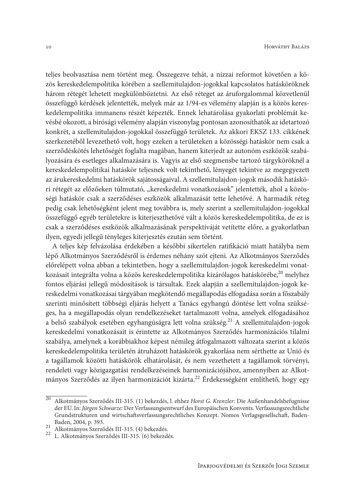teljes beolvasztása nem történt meg. Összegezve tehát, a nizzai reformot követően a közös kereskedelempolitika körében a szellemitulajdon-jogokkal kapcsolatos hatásköröknek három rétegét lehetett megkülönböztetni. Az első réteget az áruforgalommal közvetlenül összefüggő kérdések jelentették, melyek már az 1/94-es vélemény alapján is a közös kereskedelempolitika immanens részét képezték. Ennek lehatárolása gyakorlati problémát kevésbé okozott, a bírósági vélemény alapján viszonylag pontosan azonosíthatók az idetartozó konkrét, a szellemitulajdon-jogokkal összefüggő területek. Az akkori EKSZ 133. cikkének szerkezetéből levezethető volt, hogy ezeken a területeken a közösségi hatáskör nem csak a szerződéskötés lehetőségét foglalta magában, hanem kiterjedt az autonóm eszközök szabályozására és esetleges alkalmazására is. Vagyis az első szegmensbe tartozó tárgyköröknél a kereskedelempolitikai hatáskör teljesnek volt tekinthető, lényegét tekintve az megegyezett az árukereskedelmi hatáskörök sajátosságaival. A szellemitulajdon-jogok második hatásköri rétegét az előzőeken túlmutató, "kereskedelmi vonatkozások" jelentették, ahol a közösségi hatáskör csak a szerződéses eszközök alkalmazását tette lehetővé. A harmadik réteg pedig csak lehetőségként jelent meg továbbra is, mely szerint a szellemitulajdon-jogokkal összefüggő egyéb területekre is kiterjeszthetővé vált a közös kereskedelempolitika, de ez is csak a szerződéses eszközök alkalmazásának perspektíváját vetítette előre, a gyakorlatban ilyen, egyedi jellegű tényleges kiterjesztés ezután sem történt.

A teljes kép felvázolása érdekében a későbbi sikertelen ratifikáció miatt hatályba nem lépő Alkotmányos Szerződésről is érdemes néhány szót ejteni. Az Alkotmányos Szerződés előrelépett volna abban a tekintetben, hogy a szellemitulajdon-jogok kereskedelmi vonatkozásait integrálta volna a közös kereskedelempolitika kizárólagos hatáskörébe,<sup>20</sup> melyhez fontos eljárási jellegű módosítások is társultak. Ezek alapján a szellemitulajdon-jogok kereskedelmi vonatkozásai tárgyában megkötendő megállapodás elfogadása során a főszabály szerinti minősített többségi eljárás helyett a Tanács egyhangú döntése lett volna szükséges, ha a megállapodás olyan rendelkezéseket tartalmazott volna, amelyek elfogadásához a belső szabályok esetében egyhangúságra lett volna szükség.<sup>21</sup> A szellemitulajdon-jogok kereskedelmi vonatkozásait is érintette az Alkotmányos Szerződés harmonizációs tilalmi szabálya, amelynek a korábbiakhoz képest némileg átfogalmazott változata szerint a közös kereskedelempolitika területén átruházott hatáskörök gyakorlása nem sérthette az Unió és a tagállamok közötti hatáskörök elhatárolását, és nem vezethetett a tagállamok törvényi, rendeleti vagy közigazgatási rendelkezéseinek harmonizációjához, amennyiben az Alkotmányos Szerződés az ilyen harmonizációt kizárta.<sup>22</sup> Érdekességként említhető, hogy egy

Alkotmányos Szerződés III-315. (1) bekezdés, l. ehhez Horst G. Krenzler: Die Außenhandelsbefugnisse der EU. In: Jürgen Schwarze: Der Verfassungsentwurf des Europäischen Konvents. Verfassungsrechtliche Grundstrukturen und wirtschaftsverfassungsrechtliches Konzept. Nomos Verlagsgesellschaft, Baden-Baden, 2004, p. 393.

<sup>21</sup> Alkotmányos Szerződés III-315. (4) bekezdés.

<sup>&</sup>lt;sup>22</sup> L. Alkotmányos Szerződés III-315. (6) bekezdés.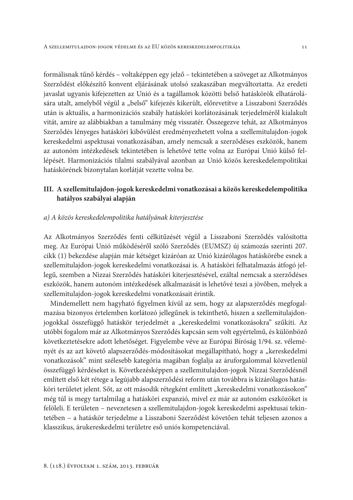formálisnak tűnő kérdés – voltaképpen egy jelző – tekintetében a szöveget az Alkotmányos Szerződést előkészítő konvent eljárásának utolsó szakaszában megváltoztatta. Az eredeti javaslat ugyanis kifejezetten az Unió és a tagállamok közötti belső hatáskörök elhatárolására utalt, amelyből végül a "belső" kifejezés kikerült, előrevetítve a Lisszaboni Szerződés után is aktuális, a harmonizációs szabály hatásköri korlátozásának terjedelméről kialakult vitát, amire az alábbiakban a tanulmány még visszatér. Összegezve tehát, az Alkotmányos Szerződés lényeges hatásköri kibővülést eredményezhetett volna a szellemitulajdon-jogok kereskedelmi aspektusai vonatkozásában, amely nemcsak a szerződéses eszközök, hanem az autonóm intézkedések tekintetében is lehetővé tette volna az Európai Unió külső fellépését. Harmonizációs tilalmi szabályával azonban az Unió közös kereskedelempolitikai hatáskörének bizonytalan korlátját vezette volna be.

# III. A szellemitulajdon-jogok kereskedelmi vonatkozásai a közös kereskedelempolitika hatályos szabályai alapján

### a) A közös kereskedelempolitika hatályának kiterjesztése

Az Alkotmányos Szerződés fenti célkitűzését végül a Lisszaboni Szerződés valósította meg. Az Európai Unió működéséről szóló Szerződés (EUMSZ) új számozás szerinti 207. cikk (1) bekezdése alapján már kétséget kizáróan az Unió kizárólagos hatáskörébe esnek a szellemitulajdon-jogok kereskedelmi vonatkozásai is. A hatásköri felhatalmazás átfogó jellegű, szemben a Nizzai Szerződés hatásköri kiterjesztésével, ezáltal nemcsak a szerződéses eszközök, hanem autonóm intézkedések alkalmazását is lehetővé teszi a jövőben, melyek a szellemitulajdon-jogok kereskedelmi vonatkozásait érintik.

Mindemellett nem hagyható figyelmen kívül az sem, hogy az alapszerződés megfogalmazása bizonyos értelemben korlátozó jellegűnek is tekinthető, hiszen a szellemitulajdonjogokkal összefüggő hatáskör terjedelmét a "kereskedelmi vonatkozásokra" szűkíti. Az utóbbi fogalom már az Alkotmányos Szerződés kapcsán sem volt egyértelmű, és különböző következtetésekre adott lehetőséget. Figyelembe véve az Európai Bíróság 1/94. sz. véleményét és az azt követő alapszerződés-módosításokat megállapítható, hogy a "kereskedelmi vonatkozások" mint szélesebb kategória magában foglalja az áruforgalommal közvetlenül összefüggő kérdéseket is. Következésképpen a szellemitulajdon-jogok Nizzai Szerződésnél említett első két rétege a legújabb alapszerződési reform után továbbra is kizárólagos hatásköri területet jelent. Sőt, az ott második rétegként említett "kereskedelmi vonatkozásokon" még túl is megy tartalmilag a hatásköri expanzió, mivel ez már az autonóm eszközöket is felöleli. E területen - nevezetesen a szellemitulajdon-jogok kereskedelmi aspektusai tekintetében - a hatáskör terjedelme a Lisszaboni Szerződést követően tehát teljesen azonos a klasszikus, árukereskedelmi területre eső uniós kompetenciával.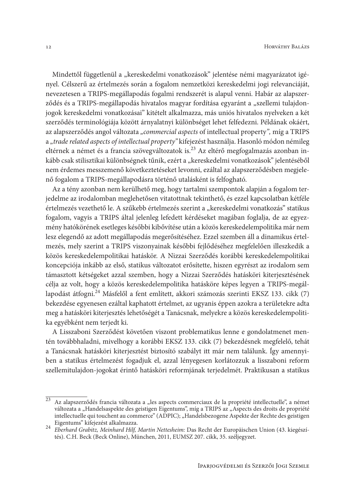Mindettől függetlenül a "kereskedelmi vonatkozások" jelentése némi magyarázatot igényel. Célszerű az értelmezés során a fogalom nemzetközi kereskedelmi jogi relevanciáját, nevezetesen a TRIPS-megállapodás fogalmi rendszerét is alapul venni. Habár az alapszerződés és a TRIPS-megállapodás hivatalos magyar fordítása egyaránt a "szellemi tulajdonjogok kereskedelmi vonatkozásai" kitételt alkalmazza, más uniós hivatalos nyelveken a két szerződés terminológiája között árnyalatnyi különbséget lehet felfedezni. Példának okáért, az alapszerződés angol változata "commercial aspects of intellectual property", míg a TRIPS a "trade related aspects of intellectual property" kifejezést használja. Hasonló módon némileg eltérnek a német és a francia szövegváltozatok is.<sup>23</sup> Az eltérő megfogalmazás azonban inkább csak stilisztikai különbségnek tűnik, ezért a "kereskedelmi vonatkozások" jelentéséből nem érdemes messzemenő következtetéseket levonni, ezáltal az alapszerződésben megjelenő fogalom a TRIPS-megállapodásra történő utalásként is felfogható.

Az a tény azonban nem kerülhető meg, hogy tartalmi szempontok alapján a fogalom terjedelme az irodalomban meglehetősen vitatottnak tekinthető, és ezzel kapcsolatban kétféle értelmezés vezethető le. A szűkebb értelmezés szerint a "kereskedelmi vonatkozás" statikus fogalom, vagyis a TRIPS által jelenleg lefedett kérdéseket magában foglalja, de az egyezmény hatókörének esetleges későbbi kibővítése után a közös kereskedelempolitika már nem lesz elegendő az adott megállapodás megerősítéséhez. Ezzel szemben áll a dinamikus értelmezés, mely szerint a TRIPS viszonyainak későbbi fejlődéséhez megfelelően illeszkedik a közös kereskedelempolitikai hatáskör. A Nizzai Szerződés korábbi kereskedelempolitikai koncepciója inkább az első, statikus változatot erősítette, hiszen egyrészt az irodalom sem támasztott kétségeket azzal szemben, hogy a Nizzai Szerződés hatásköri kiterjesztésének célja az volt, hogy a közös kereskedelempolitika hatásköre képes legyen a TRIPS-megállapodást átfogni.<sup>24</sup> Másfelől a fent említett, akkori számozás szerinti EKSZ 133. cikk (7) bekezdése egyenesen ezáltal kaphatott értelmet, az ugyanis éppen azokra a területekre adta meg a hatásköri kiterjesztés lehetőségét a Tanácsnak, melyekre a közös kereskedelempolitika egyébként nem terjedt ki.

A Lisszaboni Szerződést követően viszont problematikus lenne e gondolatmenet mentén továbbhaladni, mivelhogy a korábbi EKSZ 133. cikk (7) bekezdésnek megfelelő, tehát a Tanácsnak hatásköri kiterjesztést biztosító szabályt itt már nem találunk. Így amennyiben a statikus értelmezést fogadjuk el, azzal lényegesen korlátozzuk a lisszaboni reform szellemitulajdon-jogokat érintő hatásköri reformjának terjedelmét. Praktikusan a statikus

Az alapszerződés francia változata a "les aspects commerciaux de la propriété intellectuelle", a német változata a "Handelsaspekte des geistigen Eigentums", míg a TRIPS az "Aspects des droits de propriété intellectuelle qui touchent au commerce" (ADPIC); "Handelsbezogene Aspekte der Rechte des geistigen Eigentums" kifejezést alkalmazza.

<sup>24</sup> Eberhard Grabitz, Meinhard Hilf, Martin Nettesheim: Das Recht der Europäischen Union (43. kiegészítés). C.H. Beck (Beck Online), München, 2011, EUMSZ 207. cikk, 35. széljegyzet.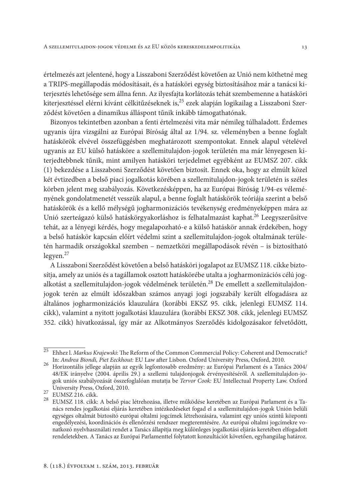értelmezés azt jelentené, hogy a Lisszaboni Szerződést követően az Unió nem köthetné meg a TRIPS-megállapodás módosításait, és a hatásköri egység biztosításához már a tanácsi kiterjesztés lehetősége sem állna fenn. Az ilyesfajta korlátozás tehát szembemenne a hatásköri kiterjesztéssel elérni kívánt célkitűzéseknek is,<sup>25</sup> ezek alapján logikailag a Lisszaboni Szerződést követően a dinamikus álláspont tűnik inkább támogathatónak.

Bizonyos tekintetben azonban a fenti értelmezési vita már némileg túlhaladott. Érdemes ugyanis újra vizsgálni az Európai Bíróság által az 1/94. sz. véleményben a benne foglalt hatáskörök elvével összefüggésben meghatározott szempontokat. Ennek alapul vételével ugyanis az EU külső hatásköre a szellemitulajdon-jogok területén ma már lényegesen kiterjedtebbnek tűnik, mint amilyen hatásköri terjedelmet egyébként az EUMSZ 207. cikk (1) bekezdése a Lisszaboni Szerződést követően biztosít. Ennek oka, hogy az elmúlt közel két évtizedben a belső piaci jogalkotás körében a szellemitulajdon-jogok területén is széles körben jelent meg szabályozás. Következésképpen, ha az Európai Bíróság 1/94-es véleményének gondolatmenetét vesszük alapul, a benne foglalt hatáskörök teóriája szerint a belső hatáskörök és a kellő mélységű jogharmonizációs tevékenység eredményeképpen mára az Unió szerteágazó külső hatáskörgyakorláshoz is felhatalmazást kaphat.<sup>26</sup> Leegyszerűsítve tehát, az a lényegi kérdés, hogy megalapozható-e a külső hatáskör annak érdekében, hogy a belső hatáskör kapcsán előírt védelmi szint a szellemitulajdon-jogok oltalmának területén harmadik országokkal szemben – nemzetközi megállapodások révén – is biztosítható legyen. $27$ 

A Lisszaboni Szerződést követően a belső hatásköri jogalapot az EUMSZ 118. cikke biztosítja, amely az uniós és a tagállamok osztott hatáskörébe utalta a jogharmonizációs célú jogalkotást a szellemitulajdon-jogok védelmének területén.<sup>28</sup> De emellett a szellemitulajdonjogok terén az elmúlt időszakban számos anyagi jogi jogszabály került elfogadásra az általános jogharmonizációs klauzulára (korábbi EKSZ 95. cikk, jelenlegi EUMSZ 114. cikk), valamint a nyitott jogalkotási klauzulára (korábbi EKSZ 308. cikk, jelenlegi EUMSZ 352. cikk) hivatkozással, így már az Alkotmányos Szerződés kidolgozásakor felvetődött,

<sup>&</sup>lt;sup>25</sup> Ehhez l. Markus Krajewski: The Reform of the Common Commercial Policy: Coherent and Democratic? In: Andrea Biondi, Piet Eeckhout: EU Law after Lisbon. Oxford University Press, Oxford, 2010.

<sup>26</sup> Horizontális jellege alapján az egyik legfontosabb eredmény: az Európai Parlament és a Tanács 2004/ 48/EK irányelve (2004. április 29.) a szellemi tulajdonjogok érvényesítéséről. A szellemitulajdon-jogok uniós szabályozását összefoglalóan mutatja be Tervor Cook: EU Intellectual Property Law. Oxford University Press, Oxford, 2010.

 $27$  EUMSZ 216. cikk.

<sup>28</sup> EUMSZ 118. cikk: A belső piac létrehozása, illetve működése keretében az Európai Parlament és a Tanács rendes jogalkotási eljárás keretében intézkedéseket fogad el a szellemitulajdon-jogok Unión belüli egységes oltalmát biztosító európai oltalmi jogcímek létrehozására, valamint egy uniós szintű központi engedélyezési, koordinációs és ellenőrzési rendszer megteremtésére. Az európai oltalmi jogcímekre vonatkozó nyelvhasználati rendet a Tanács állapítja meg különleges jogalkotási eljárás keretében elfogadott rendeletekben. A Tanács az Európai Parlamenttel folytatott konzultációt követően, egyhangúlag határoz.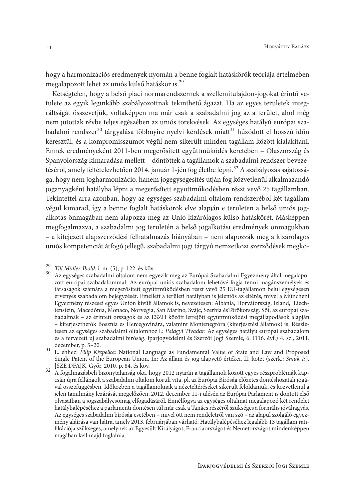hogy a harmonizációs eredmények nyomán a benne foglalt hatáskörök teóriája értelmében megalapozott lehet az uniós külső hatáskör is.<sup>29</sup>

Kétségtelen, hogy a belső piaci normarendszernek a szellemitulajdon-jogokat érintő vetülete az egyik leginkább szabályozottnak tekinthető ágazat. Ha az egyes területek integráltságát összevetjük, voltaképpen ma már csak a szabadalmi jog az a terület, ahol még nem jutottak révbe teljes egészében az uniós törekvések. Az egységes hatályú európai szabadalmi rendszer<sup>30</sup> tárgyalása többnyire nyelvi kérdések miatt<sup>31</sup> húzódott el hosszú időn keresztül, és a kompromisszumot végül nem sikerült minden tagállam között kialakítani. Ennek eredményeként 2011-ben megerősített együttműködés keretében – Olaszország és Spanyolország kimaradása mellett – döntöttek a tagállamok a szabadalmi rendszer bevezetéséről, amely feltételezhetően 2014. január 1-jén fog életbe lépni.<sup>32</sup> A szabályozás sajátossága, hogy nem jogharmonizáció, hanem jogegységesítés útján fog közvetlenül alkalmazandó joganyagként hatályba lépni a megerősített együttműködésben részt vevő 25 tagállamban. Tekintettel arra azonban, hogy az egységes szabadalmi oltalom rendszeréből két tagállam végül kimarad, így a benne foglalt hatáskörök elve alapján e területen a belső uniós jogalkotás önmagában nem alapozza meg az Unió kizárólagos külső hatáskörét. Másképpen megfogalmazva, a szabadalmi jog területén a belső jogalkotási eredmények önmagukban - a kifejezett alapszerződési felhatalmazás hiányában – nem alapozzák meg a kizárólagos uniós kompetenciát átfogó jellegű, szabadalmi jogi tárgyú nemzetközi szerződések megkö-

<sup>&</sup>lt;sup>29</sup> Till Müller-Ibold: i. m. (5), p. 122. és köv.

<sup>30</sup> Az egységes szabadalmi oltalom nem egyezik meg az Európai Szabadalmi Egyezmény által megalapozott európai szabadalommal. Az európai uniós szabadalom lehetővé fogja tenni magánszemélyek és társaságok számára a megerősített együttműködésben részt vevő 25 EU-tagállamon belül egységesen érvényes szabadalom bejegyzését. Emellett a területi hatályban is jelentős az eltérés, mivel a Müncheni Egyezmény részesei egyes Unión kívüli államok is, nevezetesen: Álbánia, Horvátország, Izland, Liechtenstein, Macedónia, Monaco, Norvégia, San Marino, Svájc, Szerbia ésTörökország. Sőt, az európai szabadalmak - az érintett országok és az ESZH között létrejött együttműködési megállapodások alapján - kiterjeszthetők Bosznia és Hercegovinára, valamint Montenegróra (kiterjesztési államok) is. Részletesen az egységes szabadalmi oltalomhoz l.: Palágyi Tivadar: Az egységes hatályú európai szabadalom és a tervezett új szabadalmi bíróság. Iparjogvédelmi és Szerzői Jogi Szemle, 6. (116. évf.) 4. sz., 2011. december, p. 5-20.

<sup>&</sup>lt;sup>31</sup> L. ehhez: Filip Křepelka: National Language as Fundamental Value of State and Law and Proposed Single Patent of the European Union. In: Az állam és jog alapvető értékei, II. kötet (szerk.: Smuk P.). [SZE DFÁJK, Győr, 2010, p. 84. és köv.  $32$ 

A fogalmazásbeli bizonytalanság oka, hogy 2012 nyarán a tagállamok között egyes részproblémák kapcsán újra fellángolt a szabadalmi oltalom körüli vita, pl. az Európai Bíróság előzetes döntéshozatali jogával összefüggésben. Időközben a tagállamoknak a nézeteltéréseket sikerült feloldaniuk, és közvetlenül a jelen tanulmány lezárását megelőzően, 2012. december 11-i ülésén az Európai Parlament is döntött első olvasatban a jogszabálycsomag elfogadásáról. Ennélfogva az egységes oltalmat megalapozó két rendelet hatálybalépéséhez a parlamenti döntésen túl már csak a Tanács részéről szükséges a formális jóváhagyás. Az egységes szabadalmi bíróság esetében – mivel ott nem rendeletről van szó – az alapul szolgáló egyezmény aláírása van hátra, amely 2013. februárjában várható. Hatálybalépéséhez legalább 13 tagállam ratifikációja szükséges, amelynek az Egyesült Királyágot, Franciaországot és Németországot mindenképpen magában kell majd foglalnia.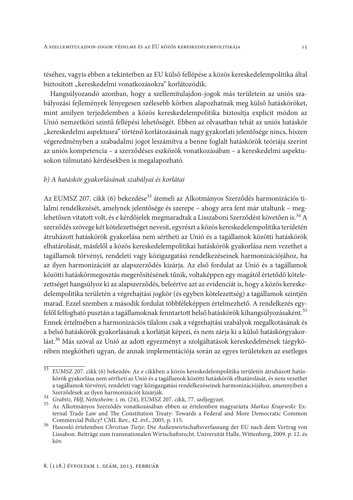téséhez, vagyis ebben a tekintetben az EU külső fellépése a közös kereskedelempolitika által biztosított "kereskedelmi vonatkozásokra" korlátozódik.

Hangsúlyozandó azonban, hogy a szellemitulajdon-jogok más területein az uniós szabályozási fejlemények lényegesen szélesebb körben alapozhatnak meg külső hatásköröket, mint amilyen terjedelemben a közös kereskedelempolitika biztosítja explicit módon az Unió nemzetközi szintű fellépési lehetőségét. Ebben az olvasatban tehát az uniós hatáskör "kereskedelmi aspektusra" történő korlátozásának nagy gyakorlati jelentősége nincs, hiszen végeredményben a szabadalmi jogot leszámítva a benne foglalt hatáskörök teóriája szerint az uniós kompetencia - a szerződéses eszközök vonatkozásában - a kereskedelmi aspektusokon túlmutató kérdésekben is megalapozható.

### b) A hatáskör gyakorlásának szabályai és korlátai

Az EUMSZ 207. cikk (6) bekezdése<sup>33</sup> átemeli az Alkotmányos Szerződés harmonizációs tilalmi rendelkezését, amelynek jelentősége és szerepe – ahogy arra fent már utaltunk – meglehetősen vitatott volt, és e kérdőjelek megmaradtak a Lisszaboni Szerződést követően is.<sup>34</sup> A szerződés szövege két kötelezettséget nevesít, egyrészt a közös kereskedelempolitika területén átruházott hatáskörök gyakorlása nem sértheti az Unió és a tagállamok közötti hatáskörök elhatárolását, másfelől a közös kereskedelempolitikai hatáskörök gyakorlása nem vezethet a tagállamok törvényi, rendeleti vagy közigazgatási rendelkezéseinek harmonizációjához, ha az ilyen harmonizációt az alapszerződés kizárja. Az első fordulat az Unió és a tagállamok közötti hatáskörmegosztás megerősítésének tűnik, voltaképpen egy magától értetődő kötelezettséget hangsúlyoz ki az alapszerződés, beleértve azt az evidenciát is, hogy a közös kereskedelempolitika területén a végrehajtási jogkör (és egyben kötelezettség) a tagállamok szintjén marad. Ezzel szemben a második fordulat többféleképpen értelmezhető. A rendelkezés egyfelől felfogható pusztán a tagállamoknak fenntartott belső hatáskörök kihangsúlyozásaként.<sup>35</sup> Ennek értelmében a harmonizációs tilalom csak a végrehajtási szabályok megalkotásának és a belső hatáskörök gyakorlásának a korlátját képezi, és nem zárja ki a külső hatáskörgyakorlást.<sup>36</sup> Más szóval az Unió az adott egyezményt a szolgáltatások kereskedelmének tárgykörében megkötheti ugyan, de annak implementációja során az egyes területeken az esetleges

<sup>&</sup>lt;sup>33</sup> EUMSZ 207. cikk (6) bekezdés: Az e cikkben a közös kereskedelempolitika területén átruházott hatáskörök gyakorlása nem sértheti az Unió és a tagállamok közötti hatáskörök elhatárolását, és nem vezethet a tagállamok törvényi, rendeleti vagy közigazgatási rendelkezéseinek harmonizációjához, amennyiben a Szerződések az ilyen harmonizációt kizárják.<br><sup>34</sup> Grabitz, Hilf, Nettesheim: i. m. (24), EUMSZ 207. cikk, 77. széljegyzet.

<sup>35</sup> Az Alkotmányos Szerződés vonatkozásában ebben az értelemben magyarázta Markus Krajewski: External Trade Law and The Constitution Treaty: Towards a Federal and More Democratic Common Commercial Policy? CML Rev., 42. évf., 2005, p. 115.

<sup>36</sup> Hasonló értelemben Christian Tietje: Die Außenwirtschaftsverfassung der EU nach dem Vertrag von Lissabon. Beiträge zum transnationalen Wirtschaftsrecht. Universität Halle, Wittenberg, 2009. p. 12. és köv.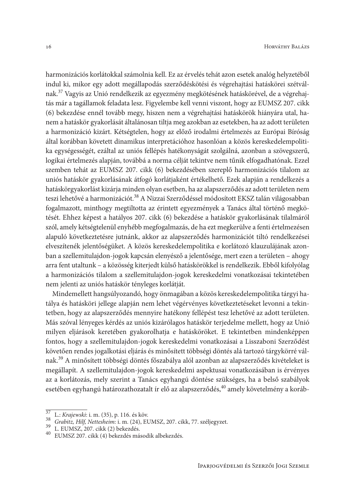harmonizációs korlátokkal számolnia kell. Ez az érvelés tehát azon esetek analóg helyzetéből indul ki, mikor egy adott megállapodás szerződéskötési és végrehajtási hatáskörei szétválnak.<sup>37</sup> Vagyis az Unió rendelkezik az egyezmény megkötésének hatáskörével, de a végrehajtás már a tagállamok feladata lesz. Figyelembe kell venni viszont, hogy az EUMSZ 207. cikk (6) bekezdése ennél tovább megy, hiszen nem a végrehajtási hatáskörök hiányára utal, hanem a hatáskör gyakorlását általánosan tiltja meg azokban az esetekben, ha az adott területen a harmonizáció kizárt. Kétségtelen, hogy az előző irodalmi értelmezés az Európai Bíróság által korábban követett dinamikus interpretációhoz hasonlóan a közös kereskedelempolitika egységességét, ezáltal az uniós fellépés hatékonyságát szolgálná, azonban a szövegszerű, logikai értelmezés alapján, továbbá a norma célját tekintve nem tűnik elfogadhatónak. Ezzel szemben tehát az EUMSZ 207. cikk (6) bekezdésében szereplő harmonizációs tilalom az uniós hatáskör gyakorlásának átfogó korlátjaként értékelhető. Ezek alapján a rendelkezés a hatáskörgyakorlást kizárja minden olyan esetben, ha az alapszerződés az adott területen nem teszi lehetővé a harmonizációt.<sup>38</sup> A Nizzai Szerződéssel módosított EKSZ talán világosabban fogalmazott, minthogy megtiltotta az érintett egyezmények a Tanács által történő megkötését. Ehhez képest a hatályos 207. cikk (6) bekezdése a hatáskör gyakorlásának tilalmáról szól, amely kétségtelenül enyhébb megfogalmazás, de ha ezt megkerülve a fenti értelmezésen alapuló következtetésre jutnánk, akkor az alapszerződés harmonizációt tiltó rendelkezései elveszítenék jelentőségüket. A közös kereskedelempolitika e korlátozó klauzulájának azonban a szellemitulajdon-jogok kapcsán elenyésző a jelentősége, mert ezen a területen – ahogy arra fent utaltunk - a közösség kiterjedt külső hatáskörökkel is rendelkezik. Ebből kifolyólag a harmonizációs tilalom a szellemitulajdon-jogok kereskedelmi vonatkozásai tekintetében nem jelenti az uniós hatáskör tényleges korlátját.

Mindemellett hangsúlyozandó, hogy önmagában a közös kereskedelempolitika tárgyi hatálya és hatásköri jellege alapján nem lehet végérvényes következtetéseket levonni a tekintetben, hogy az alapszerződés mennyire hatékony fellépést tesz lehetővé az adott területen. Más szóval lényeges kérdés az uniós kizárólagos hatáskör terjedelme mellett, hogy az Unió milyen eljárások keretében gyakorolhatja e hatásköröket. E tekintetben mindenképpen fontos, hogy a szellemitulajdon-jogok kereskedelmi vonatkozásai a Lisszaboni Szerződést követően rendes jogalkotási eljárás és minősített többségi döntés alá tartozó tárgykörré válnak.<sup>39</sup> A minősített többségi döntés főszabálya alól azonban az alapszerződés kivételeket is megállapít. A szellemitulajdon-jogok kereskedelmi aspektusai vonatkozásában is érvényes az a korlátozás, mely szerint a Tanács egyhangú döntése szükséges, ha a belső szabályok esetében egyhangú határozathozatalt ír elő az alapszerződés,<sup>40</sup> amely követelmény a koráb-

L.: Krajewski: i. m. (35), p. 116. és köv.

<sup>38</sup> Grabitz, Hilf, Nettesheim: i. m. (24), EUMSZ, 207. cikk, 77. széljegyzet. 39

L. EUMSZ, 207. cikk (2) bekezdés.

<sup>&</sup>lt;sup>40</sup> EUMSZ 207. cikk (4) bekezdés második albekezdés.